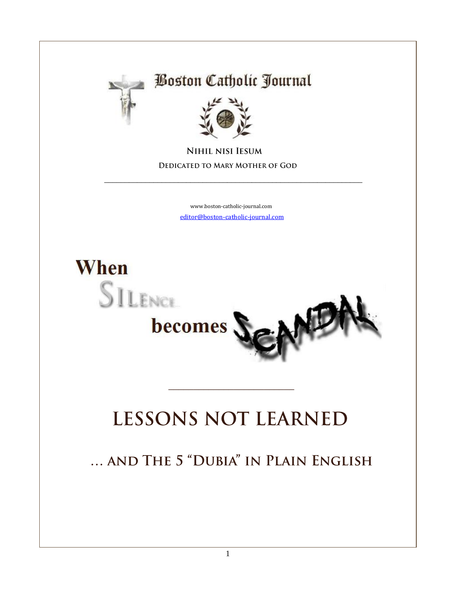

### **Boston Catholic Journal**



**NIHIL NISI IESUM DEDICATED TO MARY MOTHER OF GOD** 

> [www.boston-catholic-journal.com](http://www.boston-catholic-journal.com/) [editor@boston-catholic-journal.com](mailto:editor@boston-catholic-journal.com)

\_\_\_\_\_\_\_\_\_\_\_\_\_\_\_\_\_\_\_\_\_\_\_\_\_\_\_\_\_\_\_\_\_\_\_\_\_\_\_\_\_\_\_\_\_\_\_\_\_\_\_\_\_\_\_\_\_\_\_\_\_\_\_



# **LESSONS NOT LEARNED**

\_\_\_\_\_\_\_\_\_\_\_\_\_\_\_\_\_\_\_\_\_\_\_\_\_

... AND THE 5 "DUBIA" IN PLAIN ENGLISH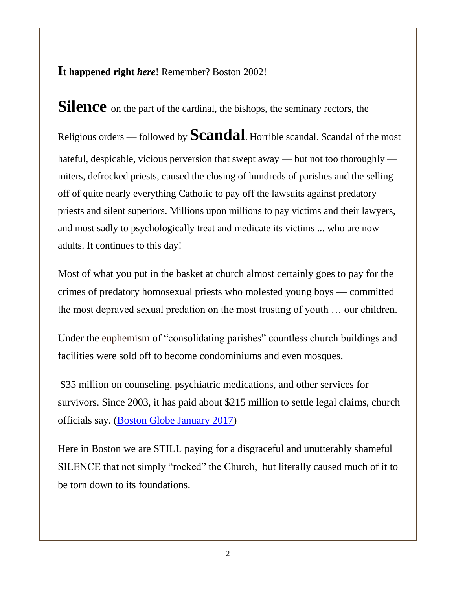**It happened right** *here*! Remember? Boston 2002!

**Silence** on the part of the cardinal, the bishops, the seminary rectors, the Religious orders — followed by **Scandal**. Horrible scandal. Scandal of the most hateful, despicable, vicious perversion that swept away — but not too thoroughly miters, defrocked priests, caused the closing of hundreds of parishes and the selling off of quite nearly everything Catholic to pay off the lawsuits against predatory priests and silent superiors. Millions upon millions to pay victims and their lawyers, and most sadly to psychologically treat and medicate its victims ... who are now adults. It continues to this day!

Most of what you put in the basket at church almost certainly goes to pay for the crimes of predatory homosexual priests who molested young boys — committed the most depraved sexual predation on the most trusting of youth … our children.

Under the euphemism of "consolidating parishes" countless church buildings and facilities were sold off to become condominiums and even mosques.

\$35 million on counseling, psychiatric medications, and other services for survivors. Since 2003, it has paid about \$215 million to settle legal claims, church officials say. [\(Boston Globe January 2017\)](https://www.bostonglobe.com/metro/2017/01/05/church-sex-abuse-victims-still-coming-forward/Qe4kWBAdkR4NWqDepiNEXM/story.html)

Here in Boston we are STILL paying for a disgraceful and unutterably shameful SILENCE that not simply "rocked" the Church, but literally caused much of it to be torn down to its foundations.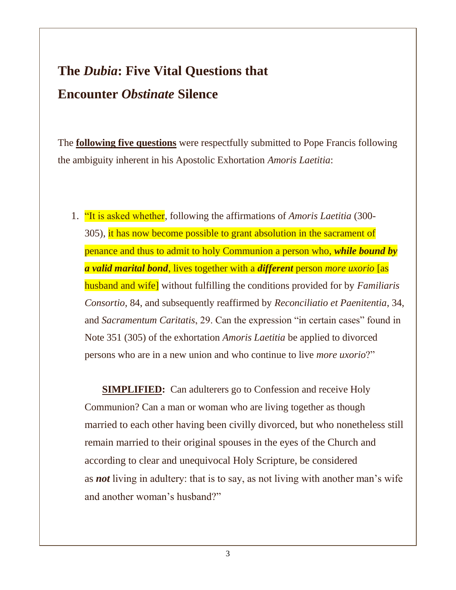### **The** *Dubia***: Five Vital Questions that Encounter** *Obstinate* **Silence**

The **following five questions** were respectfully submitted to Pope Francis following the ambiguity inherent in his Apostolic Exhortation *Amoris Laetitia*:

1. "It is asked whether, following the affirmations of *Amoris Laetitia* (300- 305), it has now become possible to grant absolution in the sacrament of penance and thus to admit to holy Communion a person who, *while bound by a valid marital bond*, lives together with a *different* person *more uxorio* [as husband and wife] without fulfilling the conditions provided for by *Familiaris Consortio*, 84, and subsequently reaffirmed by *Reconciliatio et Paenitentia*, 34, and *Sacramentum Caritatis*, 29. Can the expression "in certain cases" found in Note 351 (305) of the exhortation *Amoris Laetitia* be applied to divorced persons who are in a new union and who continue to live *more uxorio*?"

**SIMPLIFIED:** Can adulterers go to Confession and receive Holy Communion? Can a man or woman who are living together as though married to each other having been civilly divorced, but who nonetheless still remain married to their original spouses in the eyes of the Church and according to clear and unequivocal Holy Scripture, be considered as *not* living in adultery: that is to say, as not living with another man's wife and another woman's husband?"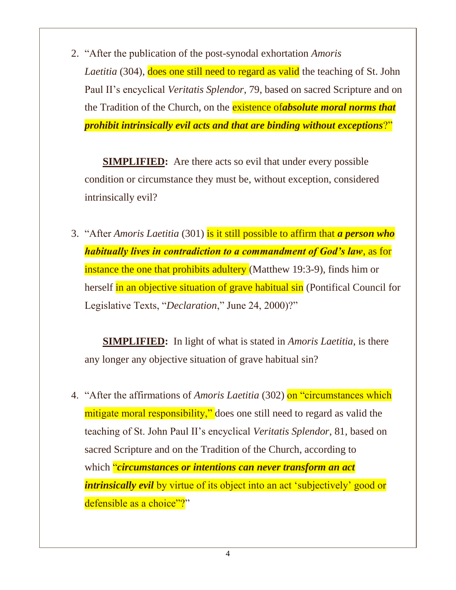2. "After the publication of the post-synodal exhortation *Amoris Laetitia* (304), **does one still need to regard as valid** the teaching of St. John Paul II's encyclical *Veritatis Splendor*, 79, based on sacred Scripture and on the Tradition of the Church, on the existence of*absolute moral norms that prohibit intrinsically evil acts and that are binding without exceptions*?"

**SIMPLIFIED:** Are there acts so evil that under every possible condition or circumstance they must be, without exception, considered intrinsically evil?

3. "After *Amoris Laetitia* (301) is it still possible to affirm that *a person who habitually lives in contradiction to a commandment of God's law*, as for instance the one that prohibits adultery (Matthew 19:3-9), finds him or herself in an objective situation of grave habitual sin (Pontifical Council for Legislative Texts, "*Declaration*," June 24, 2000)?"

 **SIMPLIFIED:** In light of what is stated in *Amoris Laetitia*, is there any longer any objective situation of grave habitual sin?

4. "After the affirmations of *Amoris Laetitia* (302) on "circumstances which mitigate moral responsibility," does one still need to regard as valid the teaching of St. John Paul II's encyclical *Veritatis Splendor*, 81, based on sacred Scripture and on the Tradition of the Church, according to which "*circumstances or intentions can never transform an act intrinsically evil* by virtue of its object into an act 'subjectively' good or defensible as a choice"?"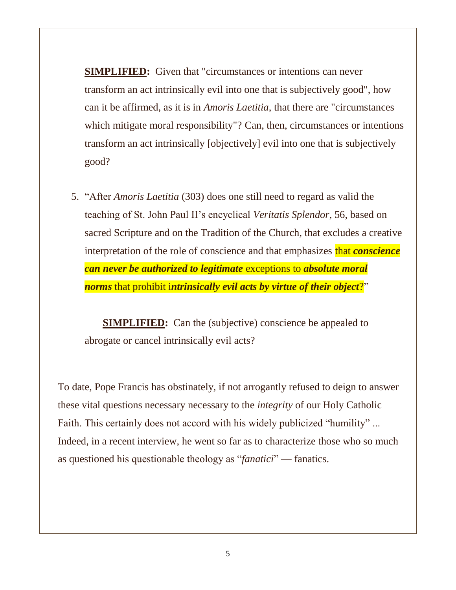**SIMPLIFIED:** Given that "circumstances or intentions can never transform an act intrinsically evil into one that is subjectively good", how can it be affirmed, as it is in *Amoris Laetitia*, that there are "circumstances which mitigate moral responsibility"? Can, then, circumstances or intentions transform an act intrinsically [objectively] evil into one that is subjectively good?

5. "After *Amoris Laetitia* (303) does one still need to regard as valid the teaching of St. John Paul II's encyclical *Veritatis Splendor*, 56, based on sacred Scripture and on the Tradition of the Church, that excludes a creative interpretation of the role of conscience and that emphasizes that *conscience can never be authorized to legitimate* exceptions to *absolute moral norms* that prohibit i*ntrinsically evil acts by virtue of their object*?"

**SIMPLIFIED:** Can the (subjective) conscience be appealed to abrogate or cancel intrinsically evil acts?

To date, Pope Francis has obstinately, if not arrogantly refused to deign to answer these vital questions necessary necessary to the *integrity* of our Holy Catholic Faith. This certainly does not accord with his widely publicized "humility" ... Indeed, in a recent interview, he went so far as to characterize those who so much as questioned his questionable theology as "*fanatici*" — fanatics.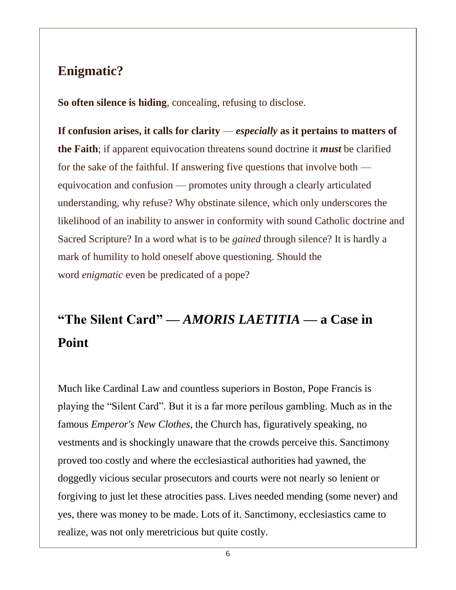### **Enigmatic?**

**So often silence is hiding**, concealing, refusing to disclose.

**If confusion arises, it calls for clarity** — *especially* **as it pertains to matters of the Faith**; if apparent equivocation threatens sound doctrine it *must* be clarified for the sake of the faithful. If answering five questions that involve both equivocation and confusion — promotes unity through a clearly articulated understanding, why refuse? Why obstinate silence, which only underscores the likelihood of an inability to answer in conformity with sound Catholic doctrine and Sacred Scripture? In a word what is to be *gained* through silence? It is hardly a mark of humility to hold oneself above questioning. Should the word *enigmatic* even be predicated of a pope?

# **"The Silent Card" —** *AMORIS LAETITIA* **— a Case in Point**

Much like Cardinal Law and countless superiors in Boston, Pope Francis is playing the "Silent Card". But it is a far more perilous gambling. Much as in the famous *Emperor's New Clothes*, the Church has, figuratively speaking, no vestments and is shockingly unaware that the crowds perceive this. Sanctimony proved too costly and where the ecclesiastical authorities had yawned, the doggedly vicious secular prosecutors and courts were not nearly so lenient or forgiving to just let these atrocities pass. Lives needed mending (some never) and yes, there was money to be made. Lots of it. Sanctimony, ecclesiastics came to realize, was not only meretricious but quite costly.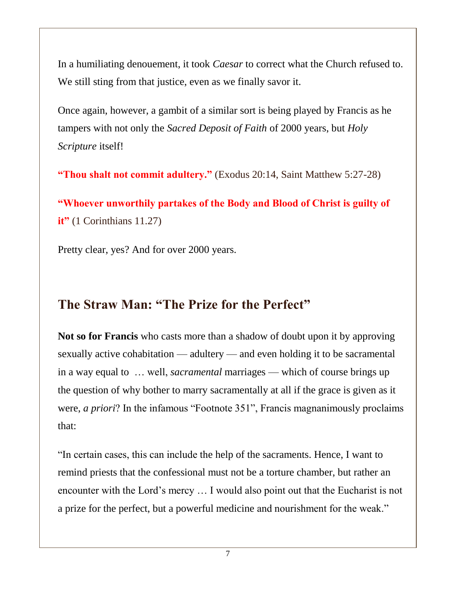In a humiliating denouement, it took *Caesar* to correct what the Church refused to. We still sting from that justice, even as we finally savor it.

Once again, however, a gambit of a similar sort is being played by Francis as he tampers with not only the *Sacred Deposit of Faith* of 2000 years, but *Holy Scripture* itself!

**"Thou shalt not commit adultery."** (Exodus 20:14, Saint Matthew 5:27-28)

**"Whoever unworthily partakes of the Body and Blood of Christ is guilty of it"** (1 Corinthians 11.27)

Pretty clear, yes? And for over 2000 years.

### **The Straw Man: "The Prize for the Perfect"**

**Not so for Francis** who casts more than a shadow of doubt upon it by approving sexually active cohabitation — adultery — and even holding it to be sacramental in a way equal to … well, *sacramental* marriages — which of course brings up the question of why bother to marry sacramentally at all if the grace is given as it were, *a priori*? In the infamous "Footnote 351", Francis magnanimously proclaims that:

"In certain cases, this can include the help of the sacraments. Hence, I want to remind priests that the confessional must not be a torture chamber, but rather an encounter with the Lord's mercy … I would also point out that the Eucharist is not a prize for the perfect, but a powerful medicine and nourishment for the weak."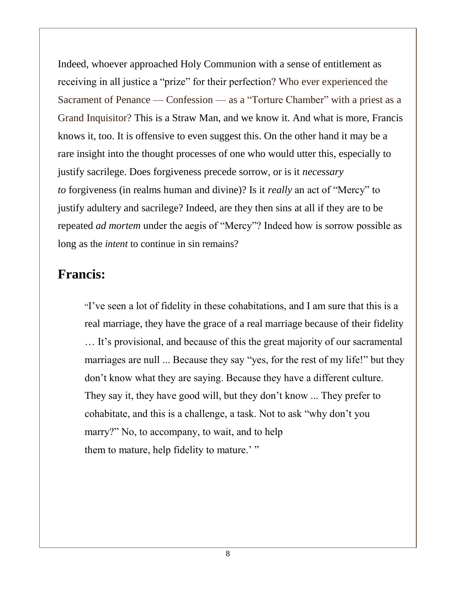Indeed, whoever approached Holy Communion with a sense of entitlement as receiving in all justice a "prize" for their perfection? Who ever experienced the Sacrament of Penance — Confession — as a "Torture Chamber" with a priest as a Grand Inquisitor? This is a Straw Man, and we know it. And what is more, Francis knows it, too. It is offensive to even suggest this. On the other hand it may be a rare insight into the thought processes of one who would utter this, especially to justify sacrilege. Does forgiveness precede sorrow, or is it *necessary to* forgiveness (in realms human and divine)? Is it *really* an act of "Mercy" to justify adultery and sacrilege? Indeed, are they then sins at all if they are to be repeated *ad mortem* under the aegis of "Mercy"? Indeed how is sorrow possible as long as the *intent* to continue in sin remains?

#### **Francis:**

"I've seen a lot of fidelity in these cohabitations, and I am sure that this is a real marriage, they have the grace of a real marriage because of their fidelity … It's provisional, and because of this the great majority of our sacramental marriages are null ... Because they say "yes, for the rest of my life!" but they don't know what they are saying. Because they have a different culture. They say it, they have good will, but they don't know ... They prefer to cohabitate, and this is a challenge, a task. Not to ask "why don't you marry?" No, to accompany, to wait, and to help them to mature, help fidelity to mature.'"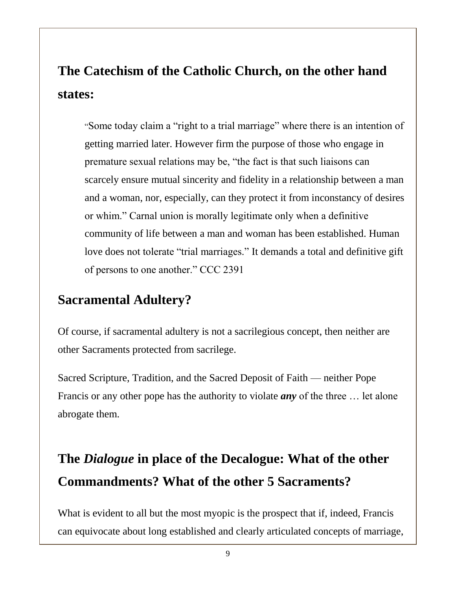# **The Catechism of the Catholic Church, on the other hand states:**

"Some today claim a "right to a trial marriage" where there is an intention of getting married later. However firm the purpose of those who engage in premature sexual relations may be, "the fact is that such liaisons can scarcely ensure mutual sincerity and fidelity in a relationship between a man and a woman, nor, especially, can they protect it from inconstancy of desires or whim." Carnal union is morally legitimate only when a definitive community of life between a man and woman has been established. Human love does not tolerate "trial marriages." It demands a total and definitive gift of persons to one another." CCC 2391

### **Sacramental Adultery?**

Of course, if sacramental adultery is not a sacrilegious concept, then neither are other Sacraments protected from sacrilege.

Sacred Scripture, Tradition, and the Sacred Deposit of Faith — neither Pope Francis or any other pope has the authority to violate *any* of the three … let alone abrogate them.

### **The** *Dialogue* **in place of the Decalogue: What of the other Commandments? What of the other 5 Sacraments?**

What is evident to all but the most myopic is the prospect that if, indeed, Francis can equivocate about long established and clearly articulated concepts of marriage,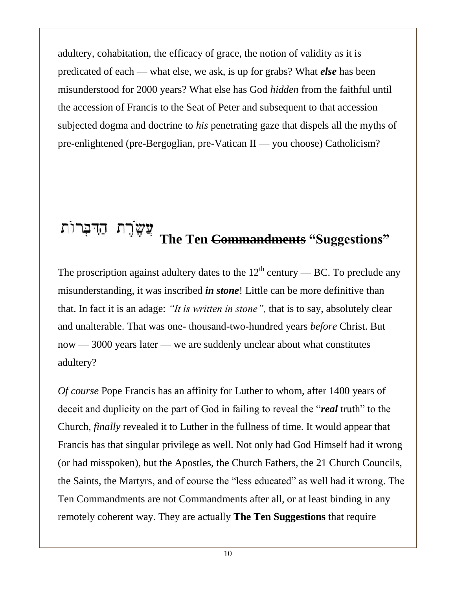adultery, cohabitation, the efficacy of grace, the notion of validity as it is predicated of each — what else, we ask, is up for grabs? What *else* has been misunderstood for 2000 years? What else has God *hidden* from the faithful until the accession of Francis to the Seat of Peter and subsequent to that accession subjected dogma and doctrine to *his* penetrating gaze that dispels all the myths of pre-enlightened (pre-Bergoglian, pre-Vatican II — you choose) Catholicism?

#### עֲשֶׂרֶת הַדִּבְרוֹת **The Ten Commandments "Suggestions"**

The proscription against adultery dates to the  $12<sup>th</sup>$  century — BC. To preclude any misunderstanding, it was inscribed *in stone*! Little can be more definitive than that. In fact it is an adage: *"It is written in stone",* that is to say, absolutely clear and unalterable. That was one- thousand-two-hundred years *before* Christ. But now — 3000 years later — we are suddenly unclear about what constitutes adultery?

*Of course* Pope Francis has an affinity for Luther to whom, after 1400 years of deceit and duplicity on the part of God in failing to reveal the "*real* truth" to the Church, *finally* revealed it to Luther in the fullness of time. It would appear that Francis has that singular privilege as well. Not only had God Himself had it wrong (or had misspoken), but the Apostles, the Church Fathers, the 21 Church Councils, the Saints, the Martyrs, and of course the "less educated" as well had it wrong. The Ten Commandments are not Commandments after all, or at least binding in any remotely coherent way. They are actually **The Ten Suggestions** that require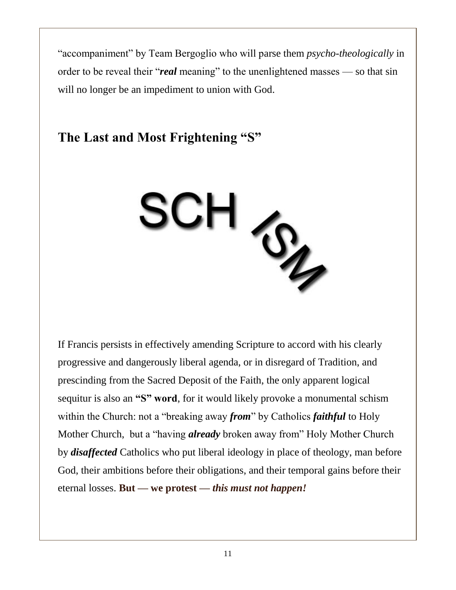"accompaniment" by Team Bergoglio who will parse them *psycho-theologically* in order to be reveal their "*real* meaning" to the unenlightened masses — so that sin will no longer be an impediment to union with God.

### **The Last and Most Frightening "S"**



If Francis persists in effectively amending Scripture to accord with his clearly progressive and dangerously liberal agenda, or in disregard of Tradition, and prescinding from the Sacred Deposit of the Faith, the only apparent logical sequitur is also an **"S" word**, for it would likely provoke a monumental schism within the Church: not a "breaking away *from*" by Catholics *faithful* to Holy Mother Church, but a "having *already* broken away from" Holy Mother Church by *disaffected* Catholics who put liberal ideology in place of theology, man before God, their ambitions before their obligations, and their temporal gains before their eternal losses. **But — we protest —** *this must not happen!*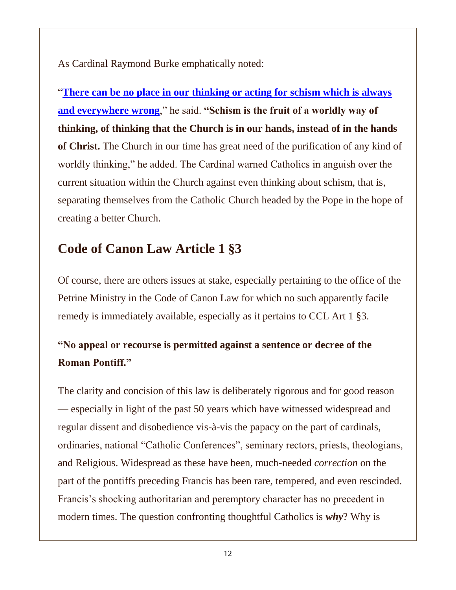As Cardinal Raymond Burke emphatically noted:

"**[There can be no place in our thinking or acting for schism which is always](https://www.lifesitenews.com/news/confusion-division-in-church-shows-we-may-be-in-the-end-times-cardinal-burk)  [and everywhere wrong](https://www.lifesitenews.com/news/confusion-division-in-church-shows-we-may-be-in-the-end-times-cardinal-burk)**," he said. **"Schism is the fruit of a worldly way of thinking, of thinking that the Church is in our hands, instead of in the hands of Christ.** The Church in our time has great need of the purification of any kind of worldly thinking," he added. The Cardinal warned Catholics in anguish over the current situation within the Church against even thinking about schism, that is, separating themselves from the Catholic Church headed by the Pope in the hope of creating a better Church.

#### **Code of Canon Law Article 1 §3**

Of course, there are others issues at stake, especially pertaining to the office of the Petrine Ministry in the Code of Canon Law for which no such apparently facile remedy is immediately available, especially as it pertains to CCL Art 1 §3.

#### **"No appeal or recourse is permitted against a sentence or decree of the Roman Pontiff."**

The clarity and concision of this law is deliberately rigorous and for good reason — especially in light of the past 50 years which have witnessed widespread and regular dissent and disobedience vis-à-vis the papacy on the part of cardinals, ordinaries, national "Catholic Conferences", seminary rectors, priests, theologians, and Religious. Widespread as these have been, much-needed *correction* on the part of the pontiffs preceding Francis has been rare, tempered, and even rescinded. Francis's shocking authoritarian and peremptory character has no precedent in modern times. The question confronting thoughtful Catholics is *why*? Why is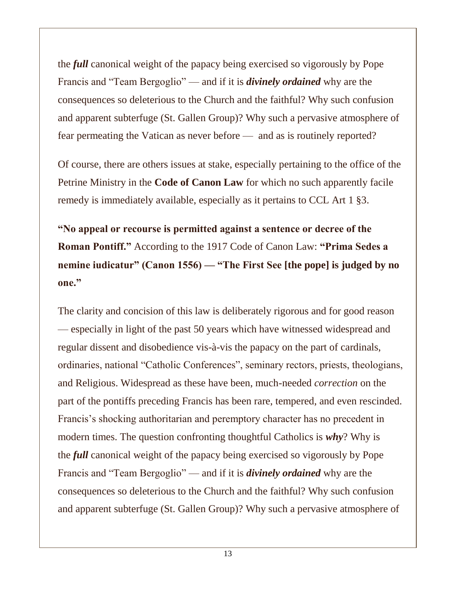the *full* canonical weight of the papacy being exercised so vigorously by Pope Francis and "Team Bergoglio" — and if it is *divinely ordained* why are the consequences so deleterious to the Church and the faithful? Why such confusion and apparent subterfuge (St. Gallen Group)? Why such a pervasive atmosphere of fear permeating the Vatican as never before — and as is routinely reported?

Of course, there are others issues at stake, especially pertaining to the office of the Petrine Ministry in the **Code of Canon Law** for which no such apparently facile remedy is immediately available, especially as it pertains to CCL Art 1 §3.

**"No appeal or recourse is permitted against a sentence or decree of the Roman Pontiff."** According to the 1917 Code of Canon Law: **"Prima Sedes a nemine iudicatur" (Canon 1556) — "The First See [the pope] is judged by no one."**

The clarity and concision of this law is deliberately rigorous and for good reason — especially in light of the past 50 years which have witnessed widespread and regular dissent and disobedience vis-à-vis the papacy on the part of cardinals, ordinaries, national "Catholic Conferences", seminary rectors, priests, theologians, and Religious. Widespread as these have been, much-needed *correction* on the part of the pontiffs preceding Francis has been rare, tempered, and even rescinded. Francis's shocking authoritarian and peremptory character has no precedent in modern times. The question confronting thoughtful Catholics is *why*? Why is the *full* canonical weight of the papacy being exercised so vigorously by Pope Francis and "Team Bergoglio" — and if it is *divinely ordained* why are the consequences so deleterious to the Church and the faithful? Why such confusion and apparent subterfuge (St. Gallen Group)? Why such a pervasive atmosphere of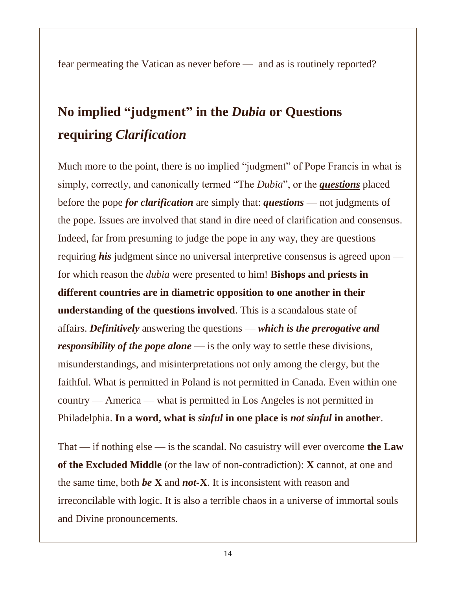fear permeating the Vatican as never before — and as is routinely reported?

# **No implied "judgment" in the** *Dubia* **or Questions requiring** *Clarification*

Much more to the point, there is no implied "judgment" of Pope Francis in what is simply, correctly, and canonically termed "The *Dubia*", or the *questions* placed before the pope *for clarification* are simply that: *questions* — not judgments of the pope. Issues are involved that stand in dire need of clarification and consensus. Indeed, far from presuming to judge the pope in any way, they are questions requiring *his* judgment since no universal interpretive consensus is agreed upon for which reason the *dubia* were presented to him! **Bishops and priests in different countries are in diametric opposition to one another in their understanding of the questions involved**. This is a scandalous state of affairs. *Definitively* answering the questions — *which is the prerogative and responsibility of the pope alone* — is the only way to settle these divisions, misunderstandings, and misinterpretations not only among the clergy, but the faithful. What is permitted in Poland is not permitted in Canada. Even within one country — America — what is permitted in Los Angeles is not permitted in Philadelphia. **In a word, what is** *sinful* **in one place is** *not sinful* **in another**.

That — if nothing else — is the scandal. No casuistry will ever overcome **the Law of the Excluded Middle** (or the law of non-contradiction): **X** cannot, at one and the same time, both *be* **X** and *not-***X**. It is inconsistent with reason and irreconcilable with logic. It is also a terrible chaos in a universe of immortal souls and Divine pronouncements.